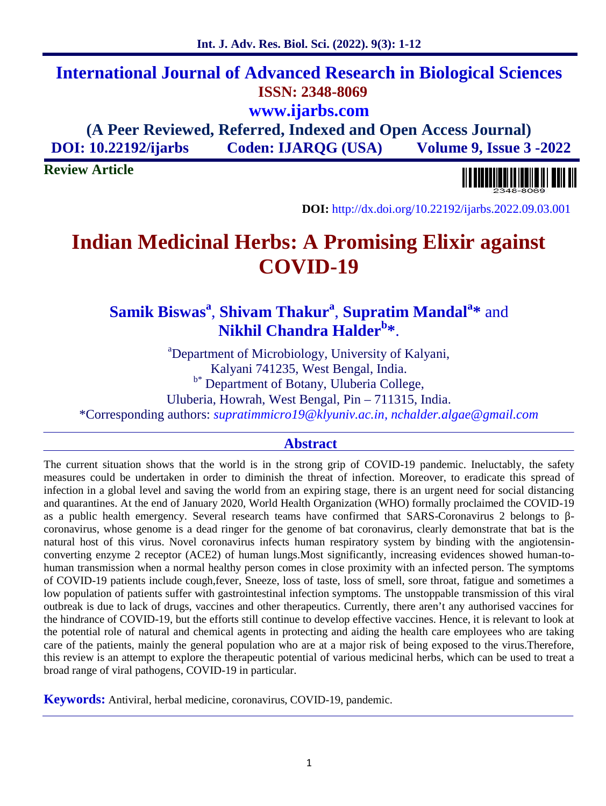# **International Journal of Advanced Research in Biological Sciences ISSN: 2348-8069 www.ijarbs.com (A Peer Reviewed, Referred, Indexed and Open Access Journal)**

**DOI: 10.22192/ijarbs Coden: IJARQG (USA) Volume 9, Issue 3 -2022**

**Review Article**



**DOI:** http://dx.doi.org/10.22192/ijarbs.2022.09.03.001

# **Indian Medicinal Herbs: A Promising Elixir against COVID-19**

# **Samik Biswas<sup>a</sup>** , **Shivam Thakur<sup>a</sup>** , **Supratim Mandal<sup>a</sup>\*** and **Nikhil Chandra Halder<sup>b</sup>\***.

<sup>a</sup>Department of Microbiology, University of Kalyani, Kalyani 741235, West Bengal, India. b\* Department of Botany, Uluberia College, Uluberia, Howrah, West Bengal, Pin – 711315, India.

\*Corresponding authors: *supratimmicro19@klyuniv.ac.in, nchalder.algae@gmail.com*

#### **Abstract**

The current situation shows that the world is in the strong grip of COVID-19 pandemic. Ineluctably, the safety measures could be undertaken in order to diminish the threat of infection. Moreover, to eradicate this spread of infection in a global level and saving the world from an expiring stage, there is an urgent need for social distancing and quarantines. At the end of January 2020, World Health Organization (WHO) formally proclaimed the COVID-19 as a public health emergency. Several research teams have confirmed that SARS-Coronavirus 2 belongs to coronavirus, whose genome is a dead ringer for the genome of bat coronavirus, clearly demonstrate that bat is the natural host of this virus. Novel coronavirus infects human respiratory system by binding with the angiotensin converting enzyme 2 receptor (ACE2) of human lungs.Most significantly, increasing evidences showed human-to human transmission when a normal healthy person comes in close proximity with an infected person. The symptoms of COVID-19 patients include cough,fever, Sneeze, loss of taste, loss of smell, sore throat, fatigue and sometimes a low population of patients suffer with gastrointestinal infection symptoms. The unstoppable transmission of this viral outbreak is due to lack of drugs, vaccines and other therapeutics. Currently, there aren't any authorised vaccines for the hindrance of COVID-19, but the efforts still continue to develop effective vaccines. Hence, it is relevant to look at the potential role of natural and chemical agents in protecting and aiding the health care employees who are taking care of the patients, mainly the general population who are at a major risk of being exposed to the virus.Therefore, this review is an attempt to explore the therapeutic potential of various medicinal herbs, which can be used to treat a broad range of viral pathogens, COVID-19 in particular.

**Keywords:** Antiviral, herbal medicine, coronavirus, COVID-19, pandemic.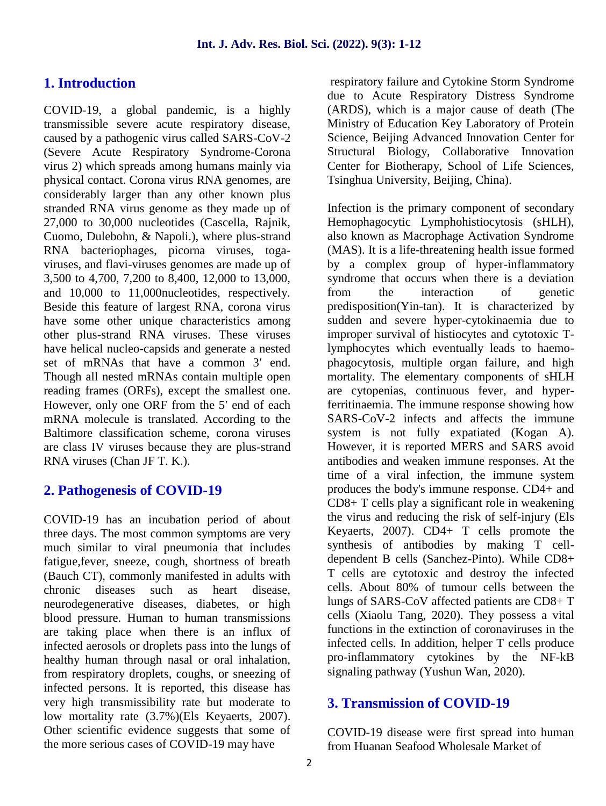# **1. Introduction**

COVID-19, a global pandemic, is a highly transmissible severe acute respiratory disease, caused by a pathogenic virus called SARS-CoV-2 (Severe Acute Respiratory Syndrome-Corona virus 2) which spreads among humans mainly via physical contact. Corona virus RNA genomes, are considerably larger than any other known plus stranded RNA virus genome as they made up of 27,000 to 30,000 nucleotides (Cascella, Rajnik, Cuomo, Dulebohn, & Napoli.), where plus-strand RNA bacteriophages, picorna viruses, toga viruses, and flavi-viruses genomes are made up of 3,500 to 4,700, 7,200 to 8,400, 12,000 to 13,000, and 10,000 to 11,000nucleotides, respectively. Beside this feature of largest RNA, corona virus have some other unique characteristics among other plus-strand RNA viruses. These viruses have helical nucleo-capsids and generate a nested set of mRNAs that have a common 3 end. Though all nested mRNAs contain multiple open reading frames (ORFs), except the smallest one. However, only one ORF from the 5 end of each mRNA molecule is translated. According to the Baltimore classification scheme, corona viruses are class IV viruses because they are plus-strand RNA viruses (Chan JF T. K.).

#### **2. Pathogenesis of COVID-19**

COVID-19 has an incubation period of about three days. The most common symptoms are very much similar to viral pneumonia that includes fatigue,fever, sneeze, cough, shortness of breath (Bauch CT), commonly manifested in adults with chronic diseases such as heart disease, neurodegenerative diseases, diabetes, or high blood pressure. Human to human transmissions are taking place when there is an influx of infected aerosols or droplets pass into the lungs of healthy human through nasal or oral inhalation, from respiratory droplets, coughs, or sneezing of infected persons. It is reported, this disease has very high transmissibility rate but moderate to low mortality rate (3.7%)(Els Keyaerts, 2007). Other scientific evidence suggests that some of the more serious cases of COVID-19 may have

respiratory failure and Cytokine Storm Syndrome due to Acute Respiratory Distress Syndrome (ARDS), which is a major cause of death (The Ministry of Education Key Laboratory of Protein Science, Beijing Advanced Innovation Center for Structural Biology, Collaborative Innovation Center for Biotherapy, School of Life Sciences, Tsinghua University, Beijing, China).

Infection is the primary component of secondary Hemophagocytic Lymphohistiocytosis (sHLH), also known as Macrophage Activation Syndrome (MAS). It is a life-threatening health issue formed by a complex group of hyper-inflammatory syndrome that occurs when there is a deviation from the interaction of genetic predisposition(Yin-tan). It is characterized by sudden and severe hyper-cytokinaemia due to improper survival of histiocytes and cytotoxic Tlymphocytes which eventually leads to haemo phagocytosis, multiple organ failure, and high mortality. The elementary components of sHLH are cytopenias, continuous fever, and hyperferritinaemia. The immune response showing how SARS-CoV-2 infects and affects the immune system is not fully expatiated (Kogan A). However, it is reported MERS and SARS avoid antibodies and weaken immune responses. At the time of a viral infection, the immune system produces the body's immune response. CD4+ and CD8+ T cells play a significant role in weakening the virus and reducing the risk of self-injury (Els Keyaerts, 2007). CD4+ T cells promote the synthesis of antibodies by making T cell dependent B cells (Sanchez-Pinto). While CD8+ T cells are cytotoxic and destroy the infected cells. About 80% of tumour cells between the lungs of SARS-CoV affected patients are CD8+ T cells (Xiaolu Tang, 2020). They possess a vital functions in the extinction of coronaviruses in the infected cells. In addition, helper T cells produce pro-inflammatory cytokines by the NF-kB signaling pathway (Yushun Wan, 2020).

# **3. Transmission of COVID-19**

COVID-19 disease were first spread into human from Huanan Seafood Wholesale Market of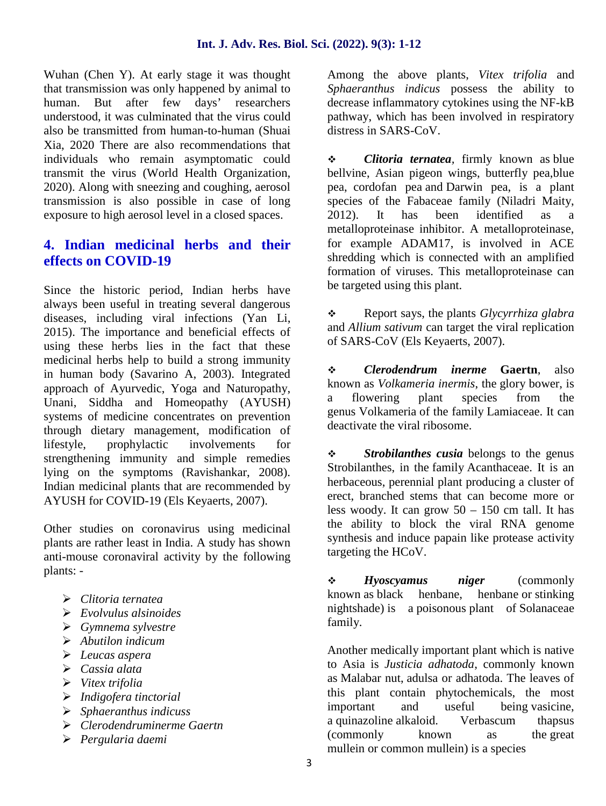Wuhan (Chen Y). At early stage it was thought that transmission was only happened by animal to human. But after few days' researchers understood, it was culminated that the virus could also be transmitted from human-to-human (Shuai Xia, 2020 There are also recommendations that individuals who remain asymptomatic could transmit the virus (World Health Organization, 2020). Along with sneezing and coughing, aerosol transmission is also possible in case of long exposure to high aerosol level in a closed spaces.

# **4. Indian medicinal herbs and their effects on COVID-19**

Since the historic period, Indian herbs have always been useful in treating several dangerous diseases, including viral infections (Yan Li, 2015). The importance and beneficial effects of using these herbs lies in the fact that these medicinal herbs help to build a strong immunity in human body (Savarino A, 2003). Integrated approach of Ayurvedic, Yoga and Naturopathy, Unani, Siddha and Homeopathy (AYUSH) systems of medicine concentrates on prevention through dietary management, modification of lifestyle, prophylactic involvements for strengthening immunity and simple remedies lying on the symptoms (Ravishankar, 2008). Indian medicinal plants that are recommended by AYUSH for COVID-19 (Els Keyaerts, 2007).

Other studies on coronavirus using medicinal plants are rather least in India. A study has shown anti-mouse coronaviral activity by the following plants: -

- *Clitoria ternatea*
- *Evolvulus alsinoides*
- *Gymnema sylvestre*
- *Abutilon indicum*
- *Leucas aspera*
- *Cassia alata*
- *Vitex trifolia*
- *Indigofera tinctorial*
- *Sphaeranthus indicuss*
- *Clerodendruminerme Gaertn*
- *Pergularia daemi*

Among the above plants, *Vitex trifolia* and *Sphaeranthus indicus* possess the ability to decrease inflammatory cytokines using the NF-kB pathway, which has been involved in respiratory distress in SARS-CoV.

 *Clitoria ternatea,* firmly known as blue bellvine, Asian pigeon wings, butterfly pea,blue pea, cordofan pea and Darwin pea, is a plant species of the Fabaceae family (Niladri Maity, 2012). It has been identified as a metalloproteinase inhibitor. A metalloproteinase, for example ADAM17, is involved in ACE shredding which is connected with an amplified formation of viruses. This metalloproteinase can be targeted using this plant.

 Report says, the plants *Glycyrrhiza glabra* and *Allium sativum* can target the viral replication of SARS-CoV (Els Keyaerts, 2007).

 *Clerodendrum inerme* **Gaertn**, also known as *Volkameria inermis*, the glory bower, is a flowering plant species from the genus Volkameria of the family Lamiaceae. It can deactivate the viral ribosome.

**Strobilanthes cusia** belongs to the genus Strobilanthes, in the family Acanthaceae. It is an herbaceous, perennial plant producing a cluster of erect, branched stems that can become more or less woody. It can grow  $50 - 150$  cm tall. It has the ability to block the viral RNA genome synthesis and induce papain like protease activity targeting the HCoV.

 *Hyoscyamus niger* (commonly known as black henbane, henbane or stinking nightshade) is a poisonous plant of Solanaceae family.

Another medically important plant which is native to Asia is *Justicia adhatoda*, commonly known as Malabar nut, adulsa or adhatoda. The leaves of this plant contain phytochemicals, the most important and useful being vasicine, a quinazoline alkaloid. Verbascum thapsus (commonly known as the great mullein or common mullein) is a species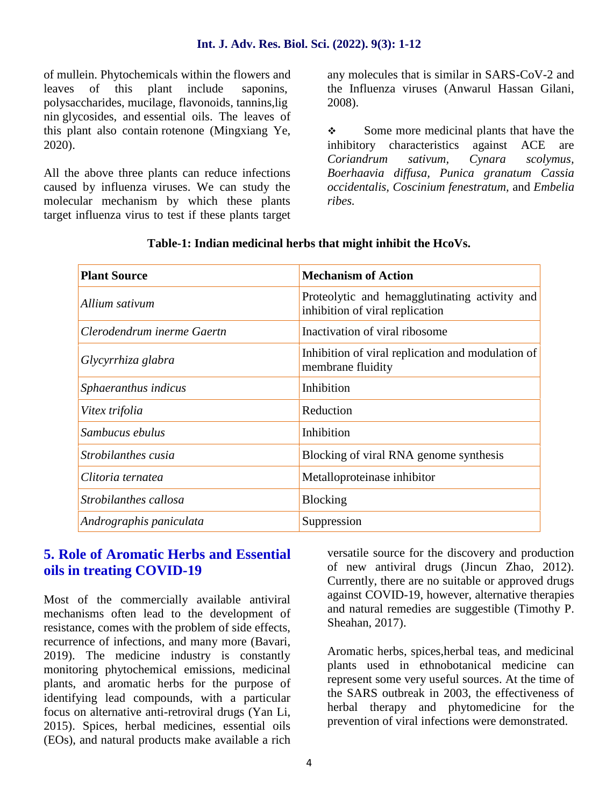of mullein. Phytochemicals within the flowers and leaves of this plant include saponins, polysaccharides, mucilage, flavonoids, tannins,lig nin glycosides, and essential oils. The leaves of this plant also contain rotenone (Mingxiang Ye, 2020).

All the above three plants can reduce infections caused by influenza viruses. We can study the molecular mechanism by which these plants target influenza virus to test if these plants target any molecules that is similar in SARS-CoV-2 and the Influenza viruses (Anwarul Hassan Gilani, 2008).

Some more medicinal plants that have the inhibitory characteristics against ACE are *Coriandrum sativum, Cynara scolymus, Boerhaavia diffusa, Punica granatum Cassia occidentalis, Coscinium fenestratum,* and *Embelia ribes.*

| <b>Plant Source</b>        | <b>Mechanism of Action</b>                                                       |
|----------------------------|----------------------------------------------------------------------------------|
| Allium sativum             | Proteolytic and hemagglutinating activity and<br>inhibition of viral replication |
| Clerodendrum inerme Gaertn | Inactivation of viral ribosome                                                   |
| Glycyrrhiza glabra         | Inhibition of viral replication and modulation of<br>membrane fluidity           |
| Sphaeranthus indicus       | Inhibition                                                                       |
| Vitex trifolia             | Reduction                                                                        |
| Sambucus ebulus            | Inhibition                                                                       |
| Strobilanthes cusia        | Blocking of viral RNA genome synthesis                                           |
| Clitoria ternatea          | Metalloproteinase inhibitor                                                      |
| Strobilanthes callosa      | <b>Blocking</b>                                                                  |
| Andrographis paniculata    | Suppression                                                                      |

#### **Table-1: Indian medicinal herbs that might inhibit the HcoVs.**

**5. Role of Aromatic Herbs and Essential oils in treating COVID-19**

Most of the commercially available antiviral mechanisms often lead to the development of resistance, comes with the problem of side effects, recurrence of infections, and many more (Bavari, 2019). The medicine industry is constantly monitoring phytochemical emissions, medicinal plants, and aromatic herbs for the purpose of identifying lead compounds, with a particular focus on alternative anti-retroviral drugs (Yan Li, 2015). Spices, herbal medicines, essential oils (EOs), and natural products make available a rich

versatile source for the discovery and production of new antiviral drugs (Jincun Zhao, 2012). Currently, there are no suitable or approved drugs against COVID-19, however, alternative therapies and natural remedies are suggestible (Timothy P. Sheahan, 2017).

Aromatic herbs, spices,herbal teas, and medicinal plants used in ethnobotanical medicine can represent some very useful sources. At the time of the SARS outbreak in 2003, the effectiveness of herbal therapy and phytomedicine for the prevention of viral infections were demonstrated.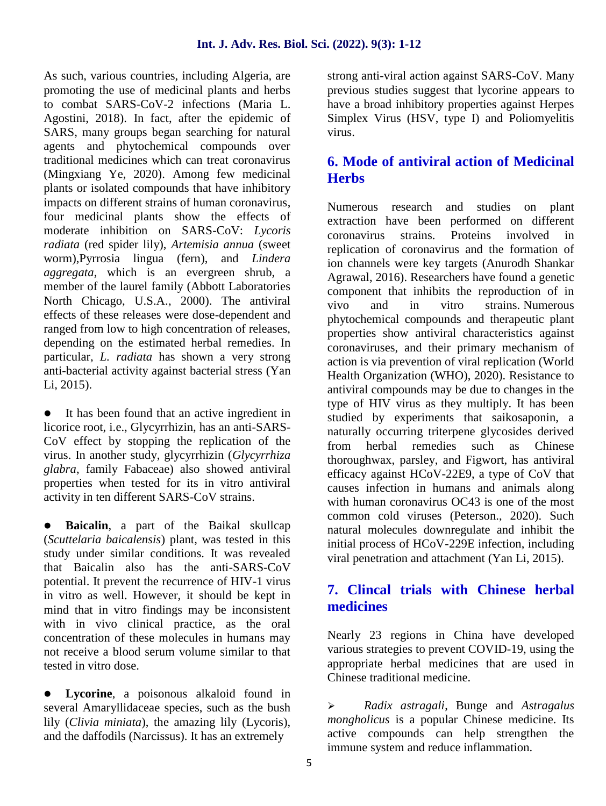As such, various countries, including Algeria, are promoting the use of medicinal plants and herbs to combat SARS-CoV-2 infections (Maria L. Agostini, 2018). In fact, after the epidemic of SARS, many groups began searching for natural agents and phytochemical compounds over traditional medicines which can treat coronavirus (Mingxiang Ye, 2020). Among few medicinal plants or isolated compounds that have inhibitory impacts on different strains of human coronavirus, four medicinal plants show the effects of moderate inhibition on SARS-CoV: *Lycoris radiata* (red spider lily), *Artemisia annua* (sweet worm),Pyrrosia lingua (fern), and *Lindera aggregata*, which is an evergreen shrub, a member of the laurel family (Abbott Laboratories North Chicago, U.S.A., 2000). The antiviral effects of these releases were dose-dependent and ranged from low to high concentration of releases, depending on the estimated herbal remedies. In particular, *L. radiata* has shown a very strong anti-bacterial activity against bacterial stress (Yan Li, 2015).

 It has been found that an active ingredient in licorice root, i.e., Glycyrrhizin, has an anti-SARS- CoV effect by stopping the replication of the virus. In another study, glycyrrhizin (*Glycyrrhiza glabra*, family Fabaceae) also showed antiviral properties when tested for its in vitro antiviral activity in ten different SARS-CoV strains.

 **Baicalin**, a part of the Baikal skullcap (*Scuttelaria baicalensis*) plant, was tested in this study under similar conditions. It was revealed that Baicalin also has the anti-SARS-CoV potential. It prevent the recurrence of HIV-1 virus in vitro as well. However, it should be kept in mind that in vitro findings may be inconsistent with in vivo clinical practice, as the oral concentration of these molecules in humans may not receive a blood serum volume similar to that tested in vitro dose.

**Lycorine**, a poisonous alkaloid found in<br>several Amaryllidaceae species such as the bush several Amaryllidaceae species, such as the bush lily (*Clivia miniata*), the amazing lily (Lycoris), and the daffodils (Narcissus). It has an extremely

strong anti-viral action against SARS-CoV. Many previous studies suggest that lycorine appears to have a broad inhibitory properties against Herpes Simplex Virus (HSV, type I) and Poliomyelitis virus.

# **6. Mode of antiviral action of Medicinal Herbs**

Numerous research and studies on plant extraction have been performed on different coronavirus strains. Proteins involved in replication of coronavirus and the formation of ion channels were key targets (Anurodh Shankar Agrawal, 2016). Researchers have found a genetic component that inhibits the reproduction of in vivo and in vitro strains. Numerous phytochemical compounds and therapeutic plant properties show antiviral characteristics against coronaviruses, and their primary mechanism of action is via prevention of viral replication (World Health Organization (WHO), 2020). Resistance to antiviral compounds may be due to changes in the type of HIV virus as they multiply. It has been studied by experiments that saikosaponin, a naturally occurring triterpene glycosides derived from herbal remedies such as Chinese thoroughwax, parsley, and Figwort, has antiviral efficacy against HCoV-22E9, a type of CoV that causes infection in humans and animals along with human coronavirus OC43 is one of the most common cold viruses (Peterson., 2020). Such natural molecules downregulate and inhibit the initial process of HCoV-229E infection, including viral penetration and attachment (Yan Li, 2015).

# **7. Clincal trials with Chinese herbal medicines**

Nearly 23 regions in China have developed various strategies to prevent COVID-19, using the appropriate herbal medicines that are used in Chinese traditional medicine.

 *Radix astragali*, Bunge and *Astragalus mongholicus* is a popular Chinese medicine. Its active compounds can help strengthen the immune system and reduce inflammation.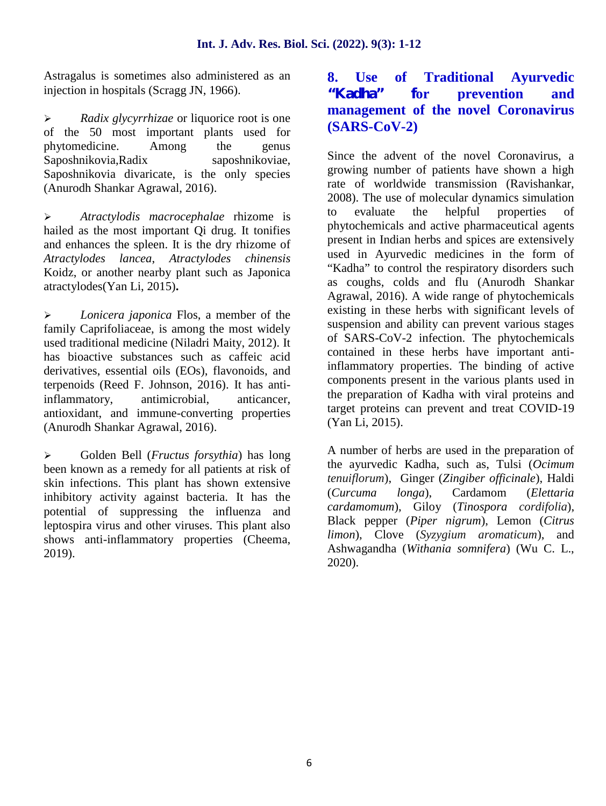Astragalus is sometimes also administered as an 8. injection in hospitals (Scragg JN, 1966).

 *Radix glycyrrhizae* or liquorice root is one of the 50 most important plants used for phytomedicine. Among the genus Saposhnikovia,Radix saposhnikoviae, Saposhnikovia divaricate, is the only species (Anurodh Shankar Agrawal, 2016).

 *Atractylodis macrocephalae* rhizome is hailed as the most important Qi drug. It tonifies and enhances the spleen. It is the dry rhizome of *Atractylodes lancea*, *Atractylodes chinensis* Koidz, or another nearby plant such as Japonica atractylodes(Yan Li, 2015)**.**

 *Lonicera japonica* Flos, a member of the family Caprifoliaceae, is among the most widely used traditional medicine (Niladri Maity, 2012). It has bioactive substances such as caffeic acid derivatives, essential oils (EOs), flavonoids, and terpenoids (Reed F. Johnson, 2016). It has antiinflammatory, antimicrobial, anticancer, antioxidant, and immune-converting properties (Anurodh Shankar Agrawal, 2016).

 Golden Bell (*Fructus forsythia*) has long been known as a remedy for all patients at risk of skin infections. This plant has shown extensive *tenutiorum*<br>inhibitory extinity expired bostome. It has the *Curcuma* inhibitory activity against bacteria. It has the potential of suppressing the influenza and leptospira virus and other viruses. This plant also shows anti-inflammatory properties (Cheema, 2019).

# **8. Use of Traditional Ayurvedic "Kadha" for prevention and management of the novel Coronavirus (SARS-CoV-2)**

Since the advent of the novel Coronavirus, a growing number of patients have shown a high rate of worldwide transmission (Ravishankar, 2008). The use of molecular dynamics simulation to evaluate the helpful properties of phytochemicals and active pharmaceutical agents present in Indian herbs and spices are extensively used in Ayurvedic medicines in the form of "Kadha" to control the respiratory disorders such as coughs, colds and flu (Anurodh Shankar Agrawal, 2016). A wide range of phytochemicals existing in these herbs with significant levels of suspension and ability can prevent various stages of SARS-CoV-2 infection. The phytochemicals contained in these herbs have important antiinflammatory properties. The binding of active components present in the various plants used in the preparation of Kadha with viral proteins and target proteins can prevent and treat COVID-19 (Yan Li, 2015).

A number of herbs are used in the preparation of the ayurvedic Kadha, such as, Tulsi (*Ocimum tenuiflorum*), Ginger (*Zingiber officinale*), Haldi (*Curcuma longa*), Cardamom (*Elettaria cardamomum*), Giloy (*Tinospora cordifolia*), Black pepper (*Piper nigrum*), Lemon (*Citrus limon*), Clove (*Syzygium aromaticum*), and Ashwagandha (*Withania somnifera*) (Wu C. L., 2020).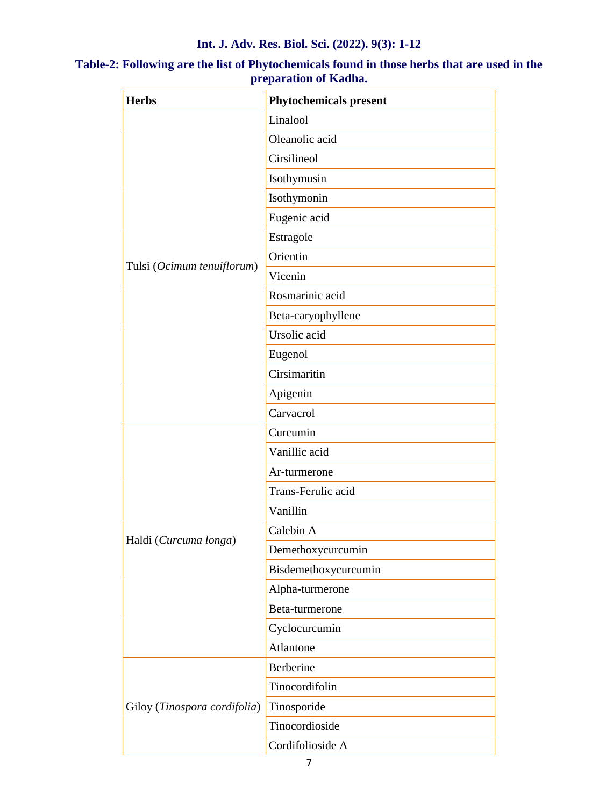#### **Int. J. Adv. Res. Biol. Sci. (2022). 9(3): 1-12**

| <b>Herbs</b>                 | <b>Phytochemicals present</b> |
|------------------------------|-------------------------------|
|                              | Linalool                      |
|                              | Oleanolic acid                |
|                              | Cirsilineol                   |
|                              | Isothymusin                   |
|                              | Isothymonin                   |
|                              | Eugenic acid                  |
|                              | Estragole                     |
|                              | Orientin                      |
| Tulsi (Ocimum tenuiflorum)   | Vicenin                       |
|                              | Rosmarinic acid               |
|                              | Beta-caryophyllene            |
|                              | Ursolic acid                  |
|                              | Eugenol                       |
|                              | Cirsimaritin                  |
|                              | Apigenin                      |
|                              | Carvacrol                     |
|                              | Curcumin                      |
|                              | Vanillic acid                 |
|                              | Ar-turmerone                  |
|                              | Trans-Ferulic acid            |
|                              | Vanillin                      |
|                              | Calebin A                     |
| Haldi (Curcuma longa)        | Demethoxycurcumin             |
|                              | Bisdemethoxycurcumin          |
|                              | Alpha-turmerone               |
|                              | Beta-turmerone                |
|                              | Cyclocurcumin                 |
|                              | Atlantone                     |
| Giloy (Tinospora cordifolia) | Berberine                     |
|                              | Tinocordifolin                |
|                              | Tinosporide                   |
|                              | Tinocordioside                |
|                              | Cordifolioside A              |

# **Table-2: Following are the list of Phytochemicals found in those herbs that are used in the preparation of Kadha.**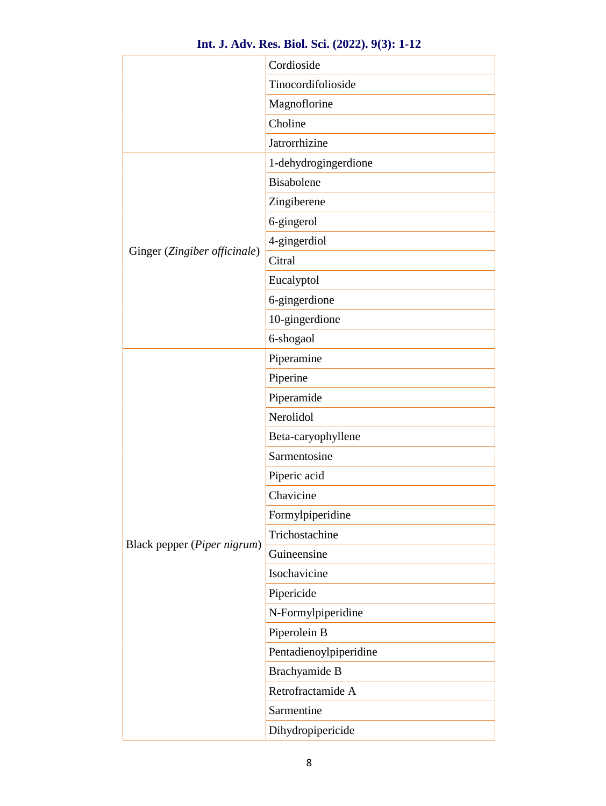| Int. J. Adv. Res. Biol. Sci. (2022). 9(3): 1-12 |  |  |  |  |  |  |  |
|-------------------------------------------------|--|--|--|--|--|--|--|
|-------------------------------------------------|--|--|--|--|--|--|--|

|                              | Cordioside             |
|------------------------------|------------------------|
|                              | Tinocordifolioside     |
|                              | Magnoflorine           |
|                              | Choline                |
|                              | Jatrorrhizine          |
|                              | 1-dehydrogingerdione   |
|                              | Bisabolene             |
|                              | Zingiberene            |
|                              | 6-gingerol             |
|                              | 4-gingerdiol           |
| Ginger (Zingiber officinale) | Citral                 |
|                              | Eucalyptol             |
|                              | 6-gingerdione          |
|                              | 10-gingerdione         |
|                              | 6-shogaol              |
|                              | Piperamine             |
|                              | Piperine               |
|                              | Piperamide             |
|                              | Nerolidol              |
|                              | Beta-caryophyllene     |
|                              | Sarmentosine           |
|                              | Piperic acid           |
|                              | Chavicine              |
|                              | Formylpiperidine       |
| Black pepper (Piper nigrum)  | Trichostachine         |
|                              | Guineensine            |
|                              | Isochavicine           |
|                              | Pipericide             |
|                              | N-Formylpiperidine     |
|                              | Piperolein B           |
|                              | Pentadienoylpiperidine |
|                              | Brachyamide B          |
|                              | Retrofractamide A      |
|                              | Sarmentine             |
|                              | Dihydropipericide      |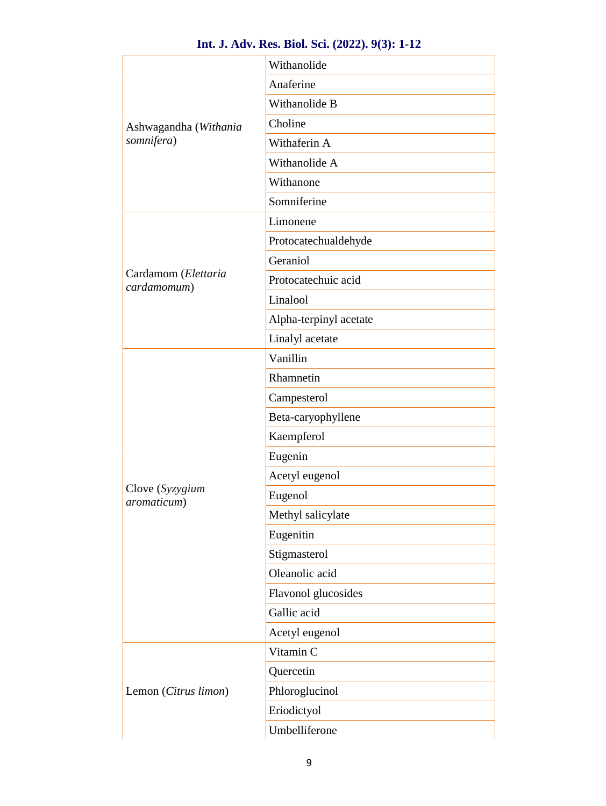|                                    | Anaferine              |  |  |  |  |
|------------------------------------|------------------------|--|--|--|--|
|                                    |                        |  |  |  |  |
|                                    | Withanolide B          |  |  |  |  |
| Ashwagandha (Withania              | Choline                |  |  |  |  |
| somnifera)                         | Withaferin A           |  |  |  |  |
|                                    | Withanolide A          |  |  |  |  |
|                                    | Withanone              |  |  |  |  |
|                                    | Somniferine            |  |  |  |  |
|                                    | Limonene               |  |  |  |  |
|                                    | Protocatechualdehyde   |  |  |  |  |
|                                    | Geraniol               |  |  |  |  |
| Cardamom (Elettaria<br>cardamomum) | Protocatechuic acid    |  |  |  |  |
|                                    | Linalool               |  |  |  |  |
|                                    | Alpha-terpinyl acetate |  |  |  |  |
|                                    | Linalyl acetate        |  |  |  |  |
|                                    | Vanillin               |  |  |  |  |
|                                    | Rhamnetin              |  |  |  |  |
|                                    | Campesterol            |  |  |  |  |
|                                    | Beta-caryophyllene     |  |  |  |  |
|                                    | Kaempferol             |  |  |  |  |
|                                    | Eugenin                |  |  |  |  |
|                                    | Acetyl eugenol         |  |  |  |  |
| Clove (Syzygium<br>aromaticum)     | Eugenol                |  |  |  |  |
|                                    | Methyl salicylate      |  |  |  |  |
|                                    | Eugenitin              |  |  |  |  |
|                                    | Stigmasterol           |  |  |  |  |
|                                    | Oleanolic acid         |  |  |  |  |
|                                    | Flavonol glucosides    |  |  |  |  |
|                                    | Gallic acid            |  |  |  |  |
|                                    | Acetyl eugenol         |  |  |  |  |
|                                    | Vitamin C              |  |  |  |  |
|                                    | Quercetin              |  |  |  |  |
| Lemon (Citrus limon)               | Phloroglucinol         |  |  |  |  |
|                                    | Eriodictyol            |  |  |  |  |
|                                    |                        |  |  |  |  |

#### **Int. J. Adv. Res. Biol. Sci. (2022). 9(3): 1-12**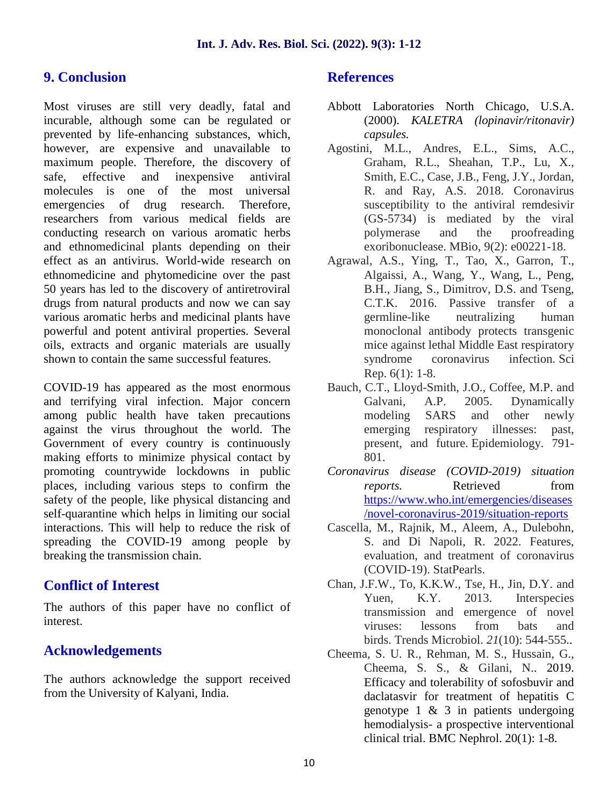#### **9. Conclusion**

Most viruses are still very deadly, fatal and incurable, although some can be regulated or prevented by life-enhancing substances, which, however, are expensive and unavailable to maximum people. Therefore, the discovery of safe, effective and inexpensive antiviral molecules is one of the most universal emergencies of drug research. Therefore, researchers from various medical fields are conducting research on various aromatic herbs and ethnomedicinal plants depending on their effect as an antivirus. World-wide research on ethnomedicine and phytomedicine over the past 50 years has led to the discovery of antiretroviral drugs from natural products and now we can say various aromatic herbs and medicinal plants have powerful and potent antiviral properties. Several oils, extracts and organic materials are usually shown to contain the same successful features.

COVID-19 has appeared as the most enormous and terrifying viral infection. Major concern among public health have taken precautions against the virus throughout the world. The Government of every country is continuously making efforts to minimize physical contact by promoting countrywide lockdowns in public places, including various steps to confirm the safety of the people, like physical distancing and self-quarantine which helps in limiting our social interactions. This will help to reduce the risk of spreading the COVID-19 among people by breaking the transmission chain.

# **Conflict of Interest**

The authors of this paper have no conflict of interest.

# **Acknowledgements**

The authors acknowledge the support received from the University of Kalyani, India.

#### **References**

- Abbott Laboratories North Chicago, U.S.A. (2000). *KALETRA (lopinavir/ritonavir) capsules.*
- Agostini, M.L., Andres, E.L., Sims, A.C., Graham, R.L., Sheahan, T.P., Lu, X., Smith, E.C., Case, J.B., Feng, J.Y., Jordan, R. and Ray, A.S. 2018. Coronavirus susceptibility to the antiviral remdesivir (GS-5734) is mediated by the viral polymerase and the proofreading exoribonuclease. MBio, 9(2): e00221-18.
- Agrawal, A.S., Ying, T., Tao, X., Garron, T., Algaissi, A., Wang, Y., Wang, L., Peng, B.H., Jiang, S., Dimitrov, D.S. and Tseng, C.T.K. 2016. Passive transfer of a germline-like neutralizing human monoclonal antibody protects transgenic mice against lethal Middle East respiratory syndrome coronavirus infection. Sci Rep. 6(1): 1-8.
- Bauch, C.T., Lloyd-Smith, J.O., Coffee, M.P. and Galvani, A.P. 2005. Dynamically modeling SARS and other newly emerging respiratory illnesses: past, present, and future. Epidemiology. 791- 801.
- *Coronavirus disease (COVID-2019) situation reports.* Retrieved from https://www.who.int/emergencies/diseases /novel-coronavirus-2019/situation-reports
- Cascella, M., Rajnik, M., Aleem, A., Dulebohn, S. and Di Napoli, R. 2022. Features, evaluation, and treatment of coronavirus (COVID-19). StatPearls.
- Chan, J.F.W., To, K.K.W., Tse, H., Jin, D.Y. and Yuen, K.Y. 2013. Interspecies transmission and emergence of novel viruses: lessons from bats and birds. Trends Microbiol. *21*(10): 544-555..
- Cheema, S. U. R., Rehman, M. S., Hussain, G., Cheema, S. S., & Gilani, N.. 2019. Efficacy and tolerability of sofosbuvir and daclatasvir for treatment of hepatitis C genotype  $1 \& 3$  in patients undergoing hemodialysis- a prospective interventional clinical trial. BMC Nephrol. 20(1): 1-8.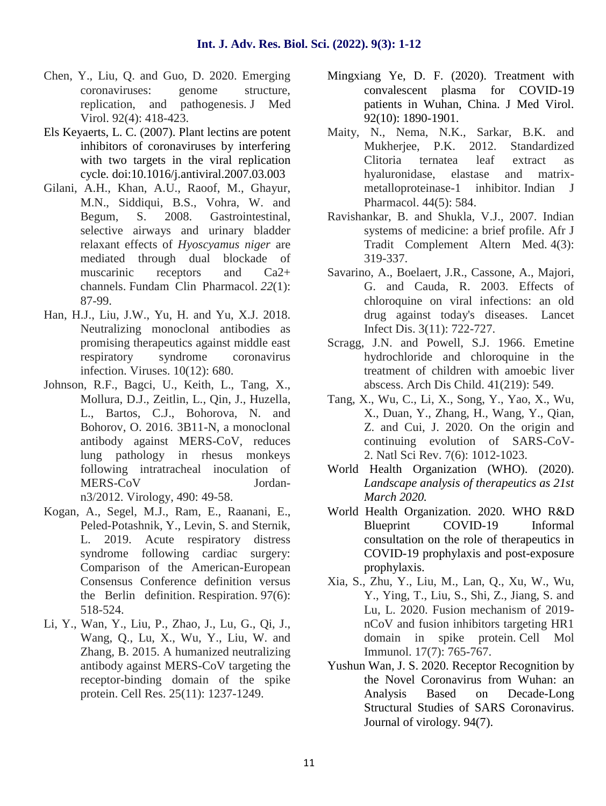- Chen, Y., Liu, Q. and Guo, D. 2020. Emerging coronaviruses: genome structure, replication, and pathogenesis. J Med Virol. 92(4): 418-423.
- Els Keyaerts, L. C. (2007). Plant lectins are potent inhibitors of coronaviruses by interfering with two targets in the viral replication cycle*.* doi:10.1016/j.antiviral.2007.03.003
- Gilani, A.H., Khan, A.U., Raoof, M., Ghayur, M.N., Siddiqui, B.S., Vohra, W. and Begum, S. 2008. Gastrointestinal, selective airways and urinary bladder relaxant effects of *Hyoscyamus niger* are mediated through dual blockade of muscarinic receptors and Ca2+ channels. Fundam Clin Pharmacol. *22*(1): 87-99.
- Han, H.J., Liu, J.W., Yu, H. and Yu, X.J. 2018. Neutralizing monoclonal antibodies as promising therapeutics against middle east respiratory syndrome coronavirus infection. Viruses. 10(12): 680.
- Johnson, R.F., Bagci, U., Keith, L., Tang, X., Mollura, D.J., Zeitlin, L., Qin, J., Huzella, L., Bartos, C.J., Bohorova, N. and Bohorov, O. 2016. 3B11-N, a monoclonal antibody against MERS-CoV, reduces lung pathology in rhesus monkeys following intratracheal inoculation of MERS-CoV Jordan n3/2012. Virology, 490: 49-58.
- Kogan, A., Segel, M.J., Ram, E., Raanani, E., Peled-Potashnik, Y., Levin, S. and Sternik, L. 2019. Acute respiratory distress syndrome following cardiac surgery: Comparison of the American-European Consensus Conference definition versus the Berlin definition. Respiration. 97(6): 518-524.
- Li, Y., Wan, Y., Liu, P., Zhao, J., Lu, G., Qi, J., Wang, Q., Lu, X., Wu, Y., Liu, W. and Zhang, B. 2015. A humanized neutralizing antibody against MERS-CoV targeting the receptor-binding domain of the spike protein. Cell Res. 25(11): 1237-1249.
- Mingxiang Ye, D. F. (2020). Treatment with convalescent plasma for COVID-19 patients in Wuhan, China. J Med Virol. 92(10): 1890-1901.
- Maity, N., Nema, N.K., Sarkar, B.K. and Mukherjee, P.K. 2012. Standardized Clitoria ternatea leaf extract as hyaluronidase, elastase and matrix metalloproteinase-1 inhibitor. Indian J Pharmacol. 44(5): 584.
- Ravishankar, B. and Shukla, V.J., 2007. Indian systems of medicine: a brief profile. Afr J Tradit Complement Altern Med. 4(3): 319-337.
- Savarino, A., Boelaert, J.R., Cassone, A., Majori, G. and Cauda, R. 2003. Effects of chloroquine on viral infections: an old drug against today's diseases. Lancet Infect Dis. 3(11): 722-727.
- Scragg, J.N. and Powell, S.J. 1966. Emetine hydrochloride and chloroquine in the treatment of children with amoebic liver abscess. Arch Dis Child. 41(219): 549.
- Tang, X., Wu, C., Li, X., Song, Y., Yao, X., Wu, X., Duan, Y., Zhang, H., Wang, Y., Qian, Z. and Cui, J. 2020. On the origin and continuing evolution of SARS-CoV- 2. Natl Sci Rev. 7(6): 1012-1023.
- World Health Organization (WHO). (2020). *Landscape analysis of therapeutics as 21st March 2020.*
- World Health Organization. 2020. WHO R&D Blueprint COVID-19 Informal consultation on the role of therapeutics in COVID-19 prophylaxis and post-exposure prophylaxis.
- Xia, S., Zhu, Y., Liu, M., Lan, Q., Xu, W., Wu, Y., Ying, T., Liu, S., Shi, Z., Jiang, S. and Lu, L. 2020. Fusion mechanism of 2019 nCoV and fusion inhibitors targeting HR1 domain in spike protein. Cell Mol Immunol. 17(7): 765-767.
- Yushun Wan, J. S. 2020. Receptor Recognition by the Novel Coronavirus from Wuhan: an Analysis Based on Decade-Long Structural Studies of SARS Coronavirus. Journal of virology. 94(7).